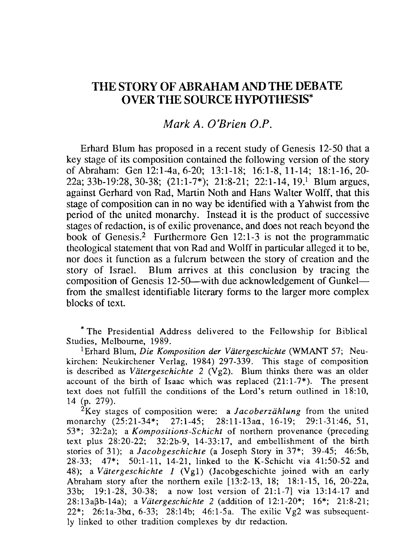# THE STORY OF ABRAHAM AND THE DEBATE OVER THE SOURCE HYPOTHESIS\*

## Mark A. D'Brien D.P.

Erhard Blum has proposed in a recent study of Genesis 12-50 that a key stage of its composition contained the following version of the story of Abraham: Gen 12:1-4a, 6-20; 13:1-18; 16:1-8,11-14; 18:1-16,20- 22a; 33b-19:28, 30-38;  $(21:1-7*)$ ; 21:8-21; 22:1-14, 19.<sup>1</sup> Blum argues, against Gerhard von Rad, Martin Noth and Hans Waiter Wolff, that this stage of composition can in no way be identified with a Yahwist from the period of the united monarchy. Instead it is the product of successive stages of redaction, is of exilic provenance, and does not reach beyond the book of Genesis.<sup>2</sup> Furthermore Gen  $12:1-3$  is not the programmatic theological statement that von Rad and Wolff in particular alleged it to be, nor does it function as a fulcrum between the story of creation and the story of Israel. Blum arrives at this conclusion by tracing the composition of Genesis 12-50-with due acknowledgement of Gunkelfrom the smallest identifiable literary forms to the larger more complex blocks of text.

\* The Presidential Address delivered to the Fellowship for Biblical Studies, Melbourne, 1989.

1 Erhard Blum, *Die Komposition der Viitergeschichte* (WMANT 57; Neukirchen: Neukirchener Verlag, 1984) 297-339. This stage of composition is described as *Viitergeschichte* 2 (Vg2). Blum thinks there was an older account of the birth of Isaac which was replaced  $(21:1-7*)$ . The present text does not fulfill the conditions of the Lord's return outlined in 18:10, 14 (p. 279).

2Key stages of composition were: a *Jacoberziihlung* from the united monarchy (25:21-34\*; 27:1-45; 28:11-13aa, 16-19; 29:1-31:46, 51, 53\*; 32:2a); a *Kompositions-Schicht* of northern provenance (preceding text plus 28:20-22; 32:2b-9, 14-33: 17, and embellishment of the birth stories of 31); a *Jacobgeschichte* (a Joseph Story in 37\*; 39-45; 46:5b, 28-33; 47\*; 50:1-11, 14-21, linked to the K-Schicht via 41:50-52 and 48); a *Viitergeschichte 1* (Vgl) (Jacobgeschichte joined with an early Abraham story after the northern exile [13:2-13, 18; 18:1-15, 16, 20-22a, 33b; 19:1-28, 30-38; a now lost version of 21:1-7] via 13:14-17 and 28: 13a~b-14a); a *Viitergeschichte* 2 (addition of 12:1-20\*; 16\*; 21:8-21; 22\*; 26:1a-3ba, 6-33; 28:14b; 46:1-5a. The exilic Vg2 was subsequently linked to other tradition complexes by dtr red action.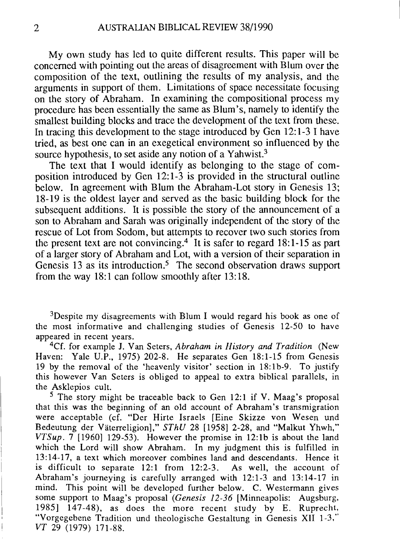My own study has led to quite different results. This paper will be concerned with pointing out the areas of disagreement with Blum over the composition of the text, outlining the results of my analysis, and the arguments in support of them. Limitations of space necessitate focusing on the story of Abraham. In examining the compositional process my procedure has been essentially the same as Blum's, namely to identify the smallest building blocks and trace the development of the text from these. In tracing this development to the stage introduced by Gen 12: 1-3 I have tried, as best one can in an exegetical environment so influenced by the source hypothesis, to set aside any notion of a Yahwist.<sup>3</sup>

The text that I would identify as belonging to the stage of composition introduced by Gen 12:1-3 is provided in the structural outline below. In agreement with Blum the Abraham-Lot story in Genesis 13; 18-19 is the oldest layer and served as the basic building block for the subsequent additions. It is possible the story of the announcement of a son to Abraham and Sarah was originally independent of the story of the rescue of Lot from Sodom, but attempts to recover two such stories from the present text are not convincing.<sup>4</sup> It is safer to regard  $18:1-15$  as part of a larger story of Abraham and Lot, with a version of their separation in Genesis 13 as its introduction.<sup>5</sup> The second observation draws support from the way 18:1 can follow smoothly after 13:18.

<sup>3</sup>Despite my disagreements with Blum I would regard his book as one of the most informative and challenging studies of Genesis 12-50 to have appeared in recent years.

4Cf. for example J. Van Seters, *Abraham in History and Tradition* (New Haven: Yale U.P., 1975) 202-8. He separates Gen 18:1-15 from Genesis 19 by the removal of the 'heavenly visitor' section in 18:1b-9. To justify this however Van Seters is obliged to appeal to extra biblical parallels, in the Asklepios cult.

 $5$  The story might be traceable back to Gen 12:1 if V. Maag's proposal that this was the beginning of an old account of Abraham's transmigration were acceptable (cf. "Der Hirte Israels [Eine Skizze von Wesen und Bedeutung der Väterreligion]," *SThU* 28 [1958] 2-28, and "Malkut Yhwh," *VTSup.* 7 [1960] 129-53). However the promise in 12:1b is about the land which the Lord will show Abraham. In my judgment this is fulfilled in 13: 14-17, a text which moreover combines land and descendants. Hence it is difficult to separate 12:1 from 12:2-3. As well, the account of Abraham's journeying is carefully arranged with 12:1-3 and 13:14-17 in mind. This point will be developed further below. C. Westermann gives some support to Maag's proposal *(Genesis* 12-36 [Minneapolis: Augsburg. 1985] 147-48), as does the more recent study by E. Ruprecht, "Vorgegebene Tradition und theologische Gestaltung in Genesis XII 1-3." *VT* 29 (1979) 171-88.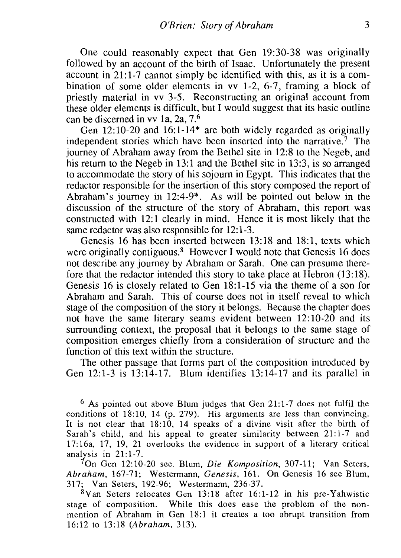One could reasonably expect that Gen 19:30-38 was originally followed by an account of the birth of Isaac. Unfortunately the present account in 21:1-7 cannot simply be identified with this, as it is a combination of some older elements in vv 1-2, 6-7, framing a block of priestly material in vv 3-5. Reconstructing an original account from these older elements is difficult, but I would suggest that its basic outline can be discerned in vv la, 2a, 7.6

Gen 12:10-20 and 16:1-14\* are both widely regarded as originally independent stories which have been inserted into the narrative.<sup>7</sup> The journey of Abraham away from the Bethel site in 12:8 to the Negeb, and his return to the Negeb in 13:1 and the Bethel site in 13:3, is so arranged to accommodate the story of his sojourn in Egypt. This indicates that the redactor responsible for the insertion of this story composed the report of Abraham's journey in 12:4-9\*. As will be pointed out below in the discussion of the structure of the story of Abraham, this report was constructed with 12:1 clearly in mind. Hence it is most likely that the same redactor was also responsible for 12:1-3.

Genesis 16 has been inserted between 13:18 and 18:1, texts which were originally contiguous.<sup>8</sup> However I would note that Genesis 16 does not describe any journey by Abraham or Sarah. One can presume therefore that the redactor intended this story to take place at Hebron (13:18). Genesis 16 is closely related to Gen 18:1-15 via the theme of a son for Abraham and Sarah. This of course does not in itself reveal to which stage of the composition of the story it belongs. Because the chapter does not have the same literary seams evident between 12: 10-20 and its surrounding context, the proposal that it belongs to the same stage of composition emerges chiefly from a consideration of structure and the function of this text within the structure.

The other passage that forms part of the composition introduced by Gen 12:1-3 is 13:14-17. Blum identifies 13:14-17 and its parallel in

 $6$  As pointed out above Blum judges that Gen 21:1-7 does not fulfil the conditions of 18:10, 14 (p. 279). His arguments are less than convincing. It is not clear that 18:10, 14 speaks of a divine visit after the birth of Sarah's child, and his appeal to greater similarity between 21:1-7 and 17: 16a, 17, 19, 21 overlooks the evidence in support of a literary critical analysis in  $21:1-7$ .

On Gen 12: 10-20 see. Blum, *Die Komposition,* 307-11; Yan Seters, *Abraham,* 167-71; Westermann, *Genesis,* 161. On Genesis 16 see Blum, 317; Yan Seters, 192-96; Westermann, 236-37.

8Yan Seters relocates Gen 13:18 after 16:1-12 in his pre-Yahwistic stage of composition. While this does ease the problem of the nonmention of Abraham in Gen 18:1 it creates a too abrupt transition from 16:12 to 13:18 *(Abraham, 313).*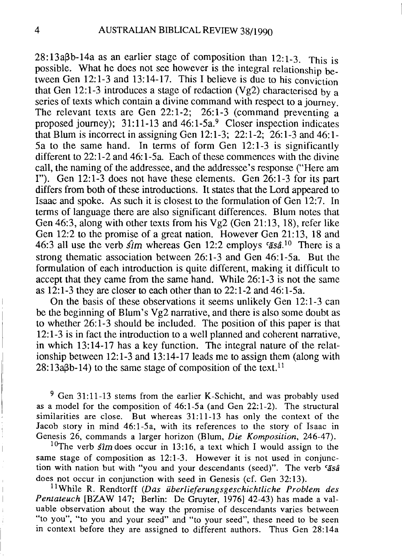$28:13aBb-14a$  as an earlier stage of composition than  $12:1-3$ . This is possible. What he does not see however is the integral relationship between Gen 12:1-3 and 13:14-17. This I believe is due to his conviction that Gen 12:1-3 introduces a stage of redaction (Vg2) characterised by a series of texts which contain a divine command with respect to a journey. The relevant texts are Gen 22:1-2; 26:1-3 (command preventing a proposed iourney);  $31:11-13$  and  $46:1-5a$ . Closer inspection indicates that Blum is incorrect in assigning Gen 12:1-3; 22:1-2; 26:1-3 and 46:1- 5a to the same hand. In terms of form Gen 12: 1-3 is significantly different to 22:1-2 and 46:1-5a. Each of these commences with the divine call, the naming of the addressee, and the addressee's response ("Here am I"). Gen 12:1-3 does not have these elements. Gen 26:1-3 for its part differs from both of these introductions. It states that the Lord appeared to Isaac and spoke. As such it is closest to the formulation of Gen 12:7. In terms of language there are also significant differences. Blum notes that Gen 46:3, along with other texts from his Vg2 (Gen 21:13, 18), refer like Gen 12:2 to the promise of a great nation. However Gen 21: 13, 18 and 46:3 all use the verb *sim* whereas Gen 12:2 employs *fasa*<sup>10</sup> There is a strong thematic association between 26:1-3 and Gen 46:1-5a. But the formulation of each introduction is quite different, making it difficult to accept that they came from the same hand. While 26:1-3 is not the same as 12:1-3 they are closer to each other than to 22: 1-2 and 46: 1-5a.

On the basis of these observations it seems unlikely Gen 12: 1-3 can be the beginning of Blum's  $Vg2$  narrative, and there is also some doubt as to whether 26: 1-3 should be included. The position of this paper is that 12:1-3 is in fact the introduction to a well planned and coherent narrative, in which 13:14-17 has a key function. The integral nature of the relationship between 12:1-3 and 13:14-17 leads me to assign them (along with  $28:13a\beta b-14$ ) to the same stage of composition of the text. <sup>11</sup>

<sup>9</sup> Gen 31:11-13 stems from the earlier K-Schicht, and was probably used as a model for the composition of 46:1-5a (and Gen 22:1-2). The structural similarities are close. But whereas 31:11-13 has only the context of the Jacob story in mind 46:1-5a, with its references to the story of Isaac in Genesis 26, commands a larger horizon (Blum, *Die Komposition, 246-47).* 

<sup>10</sup>The verb  $\sinh$  does occur in 13:16, a text which I would assign to the same stage of composition as 12:1-3. However it is not used in conjunction with nation but with "you and your descendants (seed)". The verb *casa*  does not occur in conjunction with seed in Genesis (cf. Gen 32:13).

11 While R. Rendtorff *(Das iiberlieferungsgeschichtliche Problem des Pentateuch* [BZAW 147; Berlin: De Gruyter, 1976] 42-43) has made a valuable observation about the way the promise of descendants varies between "to you", "to you and your seed" and "to your seed", these need to be seen in context before they are assigned to different authors. Thus Gen 28:14a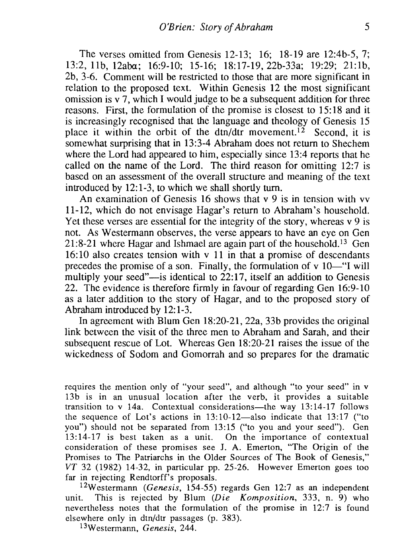The verses omitted from Genesis 12-13; 16; 18-19 are 12:4b-5, 7; 13:2, llb, 12aba; 16:9-10; 15-16; 18:17-19, 22b-33a; 19:29; 21:1b, 2b, 3-6. Comment will be restricted to those that are more significant in relation to the proposed text. Within Genesis 12 the most significant omission is  $v$  7, which I would judge to be a subsequent addition for three reasons. First, the formulation of the promise is closest to 15: 18 and it is increasingly recognised that the language and theology of Genesis 15 place it within the orbit of the  $dtn/dtr$  movement.<sup>12</sup> Second, it is somewhat surprising that in 13:3-4 Abraham does not return to Shechem where the Lord had appeared to him, especially since 13:4 reports that he called on the name of the Lord. The third reason for omitting 12:7 is based on an assessment of the overall structure and meaning of the text introduced by 12:1-3, to which we shall shortly turn.

An examination of Genesis 16 shows that v 9 is in tension with vv 11-12, which do not envisage Hagar's return to Abraham's household. Yet these verses are essential for the integrity of the story, whereas v 9 is not. As Westermann observes, the verse appears to have an eye on Gen 21:8-21 where Hagar and Ishmael are again part of the household.13 Gen 16: 10 also creates tension with v 11 in that a promise of descendants precedes the promise of a son. Finally, the formulation of  $v$  10-"I will multiply your seed" $-$ is identical to 22:17, itself an addition to Genesis 22. The evidence is therefore firmly in favour of regarding Gen 16:9-10 as a later addition to the story of Hagar, and to the proposed story of Abraham introduced by 12:1-3.

In agreement with Blum Gen 18:20-21, 22a, 33b provides the original link between the visit of the three men to Abraham and Sarah, and their subsequent rescue of Lot. Whereas Gen 18:20-21 raises the issue of the wickedness of Sodom and Gomorrah and so prepares for the dramatic

requires the mention only of "your seed", and although "to your seed" in v 13b is in an unusual location after the verb, it provides a suitable transition to v 14a. Contextual considerations—the way  $13:14-17$  follows the sequence of Lot's actions in  $13:10-12$ —also indicate that  $13:17$  ("to you") should not be separated from 13:15 ("to you and your seed"). Gen 13:14-17 is best taken as a unit. On the importance of contextual consideration of these promises see J. A. Emerton, "The Origin of the Promises to The Patriarchs in the Older Sources of The Book of Genesis,"  $VT$  32 (1982) 14-32, in particular pp. 25-26. However Emerton goes too far in rejecting Rendtorff's proposals.

12Westermann *(Genesis,* 154-55) regards Gen 12:7 as an independent unit. This is rejected by Blum *(Die Komposition,* 333, n. 9) who nevertheless notes that the formulation of the promise in 12:7 is found elsewhere only in dtn/dtr passages (p. 383).

13Westermann, *Genesis, 244.*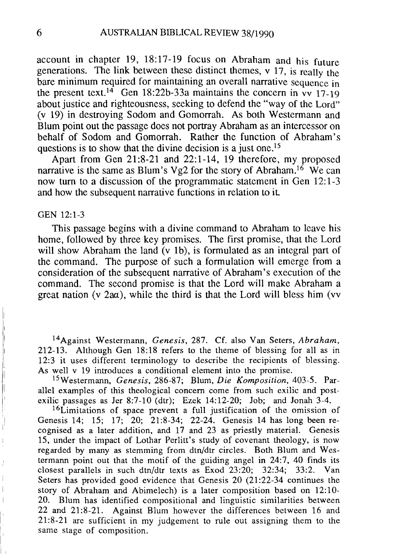account in chapter 19, 18:17-19 focus on Abraham and his future generations. The link between these distinct themes, v 17, is really the bare minimum required for maintaining an overall narrative sequence in the present text.<sup>14</sup> Gen 18:22b-33a maintains the concern in vv 17-19 about justice and righteousness, seeking to defend the "way of the Lord" (v 19) in destroying Sodom and Gomorrah. As both Westermann and Blum point out the passage does not portray Abraham as an intercessor on behalf of Sodom and Gomorrah. Rather the function of Abraham's questions is to show that the divine decision is a just one.<sup>15</sup>

Apart from Gen 21:8-21 and 22:1-14, 19 therefore, my proposed narrative is the same as Blum's Vg2 for the story of Abraham.<sup>16</sup> We can now turn to a discussion of the programmatic statement in Gen 12:1-3 and how the subsequent narrative functions in relation to it.

#### GEN 12:1-3

i,

This passage begins with a divine command to Abraham to leave his home, followed by three key promises. The first promise, that the Lord will show Abraham the land (v 1b), is formulated as an integral part of the command. The purpose of such a formulation will emerge from a consideration of the subsequent narrative of Abraham's execution of the command. The second promise is that the Lord will make Abraham a great nation (v  $2aa$ ), while the third is that the Lord will bless him (vv

14Against Westermann, *Genesis,* 287. Cf. also Van Seters, *Abraham,*  212-13. Although Gen 18:18 refers to the theme of blessing for all as in 12:3 it uses different terminology to describe the recipients of blessing. As well v 19 introduces a conditional element into the promise.

1SWestermann, *Genesis,* 286-87; Blum, *Die Komposilion,* 403-5. Parallel examples of this theological concern come from such exilic and postexilic passages as Jer 8:7-10 (dtr); Ezek 14:12-20; Job; and Jonah  $3-4$ .

<sup>16</sup>Limitations of space prevent a full justification of the omission of Genesis 14; 15; 17; 20; 21:8-34; 22-24. Genesis 14 has long been recognised as a later addition, and 17 and 23 as priestly material. Genesis 15, under the impact of Lothar Perlitt's study of covenant theology, is now regarded by many as stemming from dtn/dtr circles. Both Blum and Westermann point out that the motif of the guiding angel in 24:7, 40 finds its closest parallels in such dtn/dtr texts as Exod 23:20; 32:34; 33:2. Van Seters has provided good evidence that Genesis 20 (21:22-34 continues the story of Abraham and Abimelech) is a later composition based on 12:10- 20. Blum has identified compositional and linguistic similarities between 22 and 21:8-21. Against Blum however the differences between 16 and 21:8-21 are sufficient in my judgement to rule out assigning them to the same stage of composition.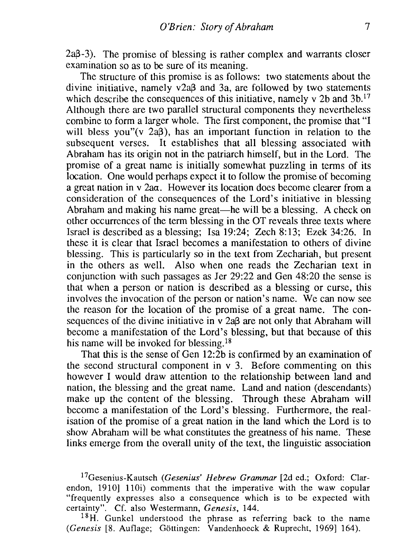$2a\beta-3$ ). The promise of blessing is rather complex and warrants closer examination so as to be sure of its meaning.

The structure of this promise is as follows: two statements about the divine initiative, namely v2a<sub> $\beta$ </sub> and 3a, are followed by two statements which describe the consequences of this initiative, namely v 2b and  $3b$ .<sup>17</sup> Although there are two parallel structural components they nevertheless combine to form a larger whole. The first component, the promise that "I will bless you"(v  $2a\beta$ ), has an important function in relation to the subsequent verses. It establishes that all blessing associated with Abraham has its origin not in the patriarch himself, but in the Lord. The promise of a great name is initially somewhat puzzling in terms of its location. One would perhaps expect it to follow the promise of becoming a great nation in v 2aa. However its location does become clearer from a consideration of the consequences of the Lord's initiative in blessing Abraham and making his name great—he will be a blessing. A check on other occurrences of the term blessing in the OT reveals three texts where Israel is described as a blessing; Isa 19:24; Zech 8:13; Ezek 34:26. In these it is clear that Israel becomes a manifestation to others of divine blessing. This is particularly so in the text from Zechariah, but present in the others as well. Also when one reads the Zecharian text in conjunction with such passages as Jer 29:22 and Gen 48:20 the sense is that when a person or nation is described as a blessing or curse, this involves the invocation of the person or nation's name. We can now see the reason for the location of the promise of a great name. The consequences of the divine initiative in  $v$  2a $\beta$  are not only that Abraham will become a manifestation of the Lord's blessing, but that because of this his name will be invoked for blessing.<sup>18</sup>

That this is the sense of Gen 12:2b is confirmed by an examination of the second structural component in v 3. Before commenting on this however I would draw attention to the relationship between land and nation, the blessing and the great name. Land and nation (descendants) make up the content of the blessing. Through these Abraham will become a manifestation of the Lord's blessing. Furthermore, the realisation of the promise of a great nation in the land which the Lord is to show Abraham will be what constitutes the greatness of his name. These links emerge from the overall unity of the text, the linguistic association

17Gesenius-Kautsch *(Gesenius' Hebrew Grammar* [2d ed.; Oxford: Clarendon, 1910] 11Oi) comments that the imperative with the waw copular "frequently expresses also a consequence which is to be expected with certainty". Cf. also Westermann, *Genesis, 144.* 

 $18$ H. Gunkel understood the phrase as referring back to the name *(Genesis* [8. Auflage; Gottingen: Vandenhoeck & Ruprecht, 1969] 164).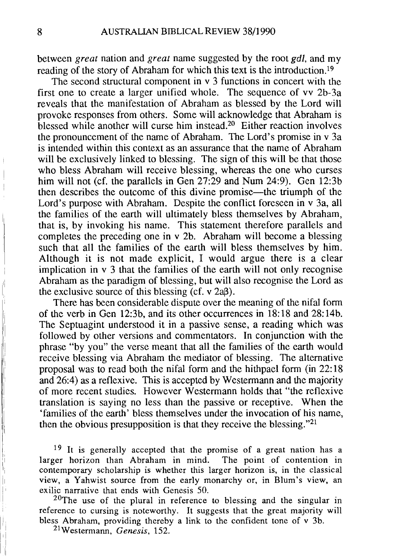between *great* nation and *great* name suggested by the root *gdl,* and my reading of the story of Abraham for which this text is the introduction.19

The second structural component in v 3 functions in concert with the first one to create a larger unified whole. The sequence of vv 2b-3a reveals that the manifestation of Abraham as blessed by the Lord will provoke responses from others. Some will acknowledge that Abraham is blessed while another will curse him instead.2o Either reaction involves the pronouncement of the name of Abraham. The Lord's promise in v 3a is intended within this context as an assurance that the name of Abraham will be exclusively linked to blessing. The sign of this will be that those who bless Abraham will receive blessing, whereas the one who curses him will not (cf. the parallels in Gen 27:29 and Num 24:9). Gen 12:3b then describes the outcome of this divine promise-the triumph of the Lord's purpose with Abraham. Despite the conflict foreseen in v 3a, all the families of the earth will ultimately bless themselves by Abraham, that is, by invoking his name. This statement therefore parallels and completes the preceding one in v 2b. Abraham will become a blessing such that all the families of the earth will bless themselves by him. Although it is not made explicit, I would argue there is a clear implication in v 3 that the families of the earth will not only recognise Abraham as the paradigm of blessing, but will also recognise the Lord as the exclusive source of this blessing  $(cf. v 2a\beta)$ .

There has been considerable dispute over the meaning of the nifal form of the verb in Gen 12:3b, and its other occurrences in 18: 18 and 28: 14b. The Septuagint understood it in a passive sense, a reading which was followed by other versions and commentators. In conjunction with the phrase "by you" the verse meant that all the families of the earth would receive blessing via Abraham the mediator of blessing. The alternative proposal was to read both the nifal form and the hithpael form (in 22: 18 and 26:4) as a reflexive. This is accepted by Westermann and the majority of more recent studies. However Westermann holds that "the reflexive translation is saying no less than the passive or receptive. When the 'families of the earth' bless themselves under the invocation of his name, then the obvious presupposition is that they receive the blessing."21

 $19$  It is generally accepted that the promise of a great nation has a larger horizon than Abraham in mind. The point of contention in contemporary scholarship is whether this larger horizon is, in the classical view, a Yahwist source from the early monarchy or, in Blum's view, an exilic narrative that ends with Genesis 50.

 $20$ The use of the plural in reference to blessing and the singular in reference to cursing is noteworthy. It suggests that the great majority will bless Abraham, providing thereby a link to the confident tone of v 3b.

21Westermann, *Genesis, 152.*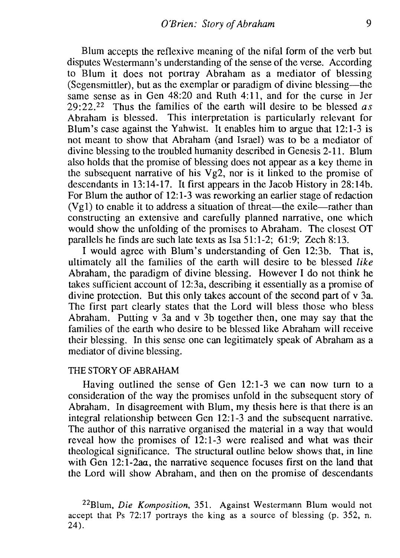Blum accepts the reflexive meaning of the nifal form of the verb but disputes Westermann's understanding of the sense of the verse. According to Blum it does not portray Abraham as a mediator of blessing (Segensmittler), but as the exemplar or paradigm of divine blessing—the same sense as in Gen 48:20 and Ruth 4:11, and for the curse in Jer 29:22.22 Thus the families of the earth will desire to be blessed *as*  Abraham is blessed. This interpretation is particularly relevant for Blum's case against the Yahwist. It enables him to argue that 12:1-3 is not meant to show that Abraham (and Israel) was to be a mediator of divine blessing to the troubled humanity described in Genesis 2-11. Blum also holds that the promise of blessing does not appear as a key theme in the subsequent narrative of his  $Vg2$ , nor is it linked to the promise of descendants in 13:14-17. It first appears in the Jacob History in 28:14b. For Blum the author of  $12:1-3$  was reworking an earlier stage of redaction  $(Vg1)$  to enable it to address a situation of threat—the exile—rather than constructing an extensive and carefully planned narrative, one which would show the unfolding of the promises to Abraham. The closest OT parallels he finds are such late texts as Isa 51:1-2; 61:9; Zech 8:13.

I would agree with Blum's understanding of Gen 12:3b. That is, ultimately all the families of the earth will desire to be blessed *like*  Abraham, the paradigm of divine blessing. However I do not think he takes sufficient account of 12:3a, describing it essentially as a promise of divine protection. But this only takes account of the second part of v 3a. The first part clearly states that the Lord will bless those who bless Abraham. Putting v 3a and v 3b together then, one may say that the families of the earth who desire to be blessed like Abraham will receive their blessing. In this sense one can legitimately speak of Abraharn as a mediator of divine blessing.

### THE STORY OF ABRAHAM

Having outlined the sense of Gen 12:1-3 we can now turn to a consideration of the way the promises unfold in the subsequent story of Abraham. In disagreement with Blum, my thesis here is that there is an integral relationship between Gen 12:1-3 and the subsequent narrative. The author of this narrative organised the material in a way that would reveal how the promises of 12:1-3 were realised and what was their theological significance. The structural outline below shows that, in line with Gen 12:1-2aa, the narrative sequence focuses first on the land that the Lord will show Abraham, and then on the promise of descendants

<sup>22</sup>Blum, *Die Komposition,* 351. Against Westermann Blum would not accept that Ps 72: 17 portrays the king as a source of blessing (p. 352, n. 24).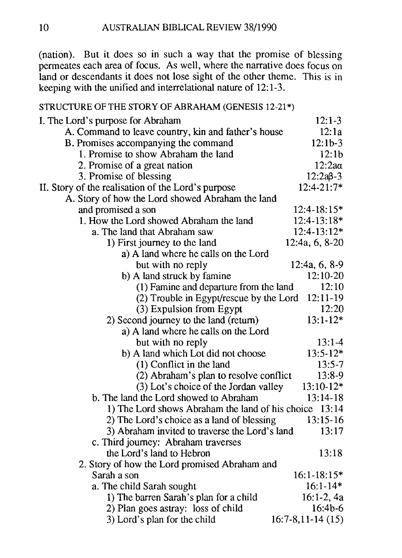(nation). But it does so in such a way that the promise of blessing permeates each area of focus. As well, where the narrative does focus on land or descendants it does not lose sight of the other theme. This is in keeping with the unified and interrelational nature of 12: 1-3.

### STRUCTURE OF THE STORY OF ABRAHAM (GENESIS 12-21\*)

| I. The Lord's purpose for Abraham                   | $12:1-3$           |
|-----------------------------------------------------|--------------------|
| A. Command to leave country, kin and father's house | 12:1a              |
| B. Promises accompanying the command                | $12:1b-3$          |
| 1. Promise to show Abraham the land                 | 12:1b              |
| 2. Promise of a great nation                        | $12:2a\alpha$      |
| 3. Promise of blessing                              | $12:2a^{3-3}$      |
| II. Story of the realisation of the Lord's purpose  | 12:4-21:7*         |
| A. Story of how the Lord showed Abraham the land    |                    |
| and promised a son                                  | $12:4 - 18:15*$    |
| 1. How the Lord showed Abraham the land             | 12:4-13:18*        |
| a. The land that Abraham saw                        | 12:4-13:12*        |
| 1) First journey to the land                        | 12:4a, 6, 8-20     |
| a) A land where he calls on the Lord                |                    |
| but with no reply                                   | 12:4a, 6, 8-9      |
| b) A land struck by famine                          | $12:10-20$         |
| (1) Famine and departure from the land              | 12:10              |
| (2) Trouble in Egypt/rescue by the Lord             | 12:11-19           |
| (3) Expulsion from Egypt                            | 12:20              |
| 2) Second journey to the land (return)              | $13:1-12*$         |
| a) A land where he calls on the Lord                |                    |
| but with no reply                                   | $13:1-4$           |
| b) A land which Lot did not choose                  | $13:5-12*$         |
| (1) Conflict in the land                            | $13:5-7$           |
| (2) Abraham's plan to resolve conflict              | 13:8-9             |
| (3) Lot's choice of the Jordan valley               | $13:10-12*$        |
| b. The land the Lord showed to Abraham              | 13:14-18           |
| 1) The Lord shows Abraham the land of his choice    | 13:14              |
| 2) The Lord's choice as a land of blessing          | 13:15-16           |
| 3) Abraham invited to traverse the Lord's land      | 13:17              |
| c. Third journey: Abraham traverses                 |                    |
| the Lord's land to Hebron                           | 13:18              |
| 2. Story of how the Lord promised Abraham and       |                    |
| Sarah a son                                         | $16:1 - 18:15*$    |
| a. The child Sarah sought                           | $16:1 - 14*$       |
| 1) The barren Sarah's plan for a child              | $16:1-2,4a$        |
| 2) Plan goes astray: loss of child                  | $16:4b-6$          |
| 3) Lord's plan for the child                        | $16:7-8,11-14(15)$ |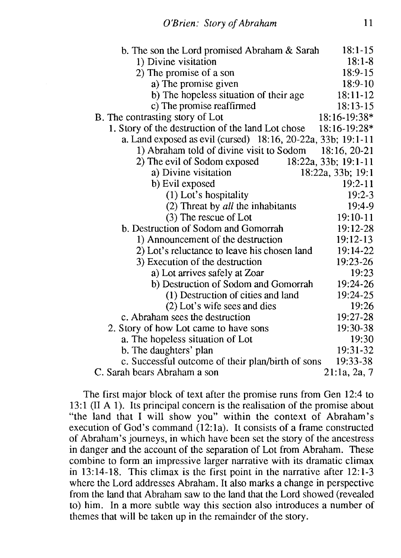| b. The son the Lord promised Abraham & Sarah                 | $18:1-15$            |
|--------------------------------------------------------------|----------------------|
| 1) Divine visitation                                         | $18:1 - 8$           |
| 2) The promise of a son                                      | 18:9-15              |
| a) The promise given                                         | $18:9-10$            |
| b) The hopeless situation of their age                       | 18:11-12             |
| c) The promise reaffirmed                                    | $18:13-15$           |
| B. The contrasting story of Lot                              | 18:16-19:38*         |
| 1. Story of the destruction of the land Lot chose            | 18:16-19:28*         |
| a. Land exposed as evil (cursed) 18:16, 20-22a, 33b; 19:1-11 |                      |
| 1) Abraham told of divine visit to Sodom                     | 18:16, 20-21         |
| 2) The evil of Sodom exposed                                 | 18:22a, 33b; 19:1-11 |
| a) Divine visitation                                         | 18:22a, 33b; 19:1    |
| b) Evil exposed                                              | $19:2 - 11$          |
| (1) Lot's hospitality                                        | $19:2 - 3$           |
| (2) Threat by all the inhabitants                            | 19:4-9               |
| (3) The rescue of Lot                                        | 19:10-11             |
| b. Destruction of Sodom and Gomorrah                         | 19:12-28             |
| 1) Announcement of the destruction                           | 19:12-13             |
| 2) Lot's reluctance to leave his chosen land                 | 19:14-22             |
| 3) Execution of the destruction                              | 19:23-26             |
| a) Lot arrives safely at Zoar                                | 19:23                |
| b) Destruction of Sodom and Gomorrah                         | 19:24-26             |
| (1) Destruction of cities and land                           | 19:24-25             |
| (2) Lot's wife sees and dies                                 | 19:26                |
| c. Abraham sees the destruction                              | 19:27-28             |
| 2. Story of how Lot came to have sons                        | 19:30-38             |
| a. The hopeless situation of Lot                             | 19:30                |
| b. The daughters' plan                                       | 19:31-32             |
| c. Successful outcome of their plan/birth of sons            | 19:33-38             |
| C. Sarah bears Abraham a son                                 | 21:1a, 2a, 7         |

The first major block of text after the promise runs from Gen 12:4 to 13:1 (II A 1). Its principal concern is the realisation of the promise about "the land that I will show you" within the context of Abraham's execution of God's command (12:1a). It consists of a frame constructed of Abraham's journeys, in which have been set the story of the ancestress in danger and the account of the separation of Lot from Abraham. These combine to form an impressive larger narrative with its dramatic climax in 13:14-18. This climax is the first point in the narrative after 12:1-3 where the Lord addresses Abraham. It also marks a change in perspective from the land that Abraham saw to the land that the Lord showed (revealed to) him. In a more subtle way this section also introduces a number of themes that will be taken up in the remainder of the story.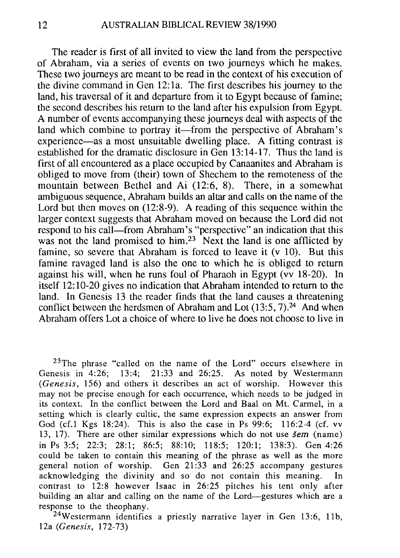The reader is first of all invited to view the land from the perspective of Abraham, via a series of events on two journeys which he makes. These two journeys are meant to be read in the context of his execution of the divine command in Gen 12: la. The first describes his journey to the land, his traversal of it and departure from it to Egypt because of famine; the second describes his return to the land after his expulsion from Egypt. A number of events accompanying these journeys deal with aspects of the land which combine to portray it—from the perspective of Abraham's experience—as a most unsuitable dwelling place. A fitting contrast is established for the dramatic disclosure in Gen 13:14-17. Thus the land is first of all encountered as a place occupied by Canaanites and Abraham is obliged to move from (their) town of Shechem to the remoteness of the mountain between Bethel and Ai (12:6, 8). There, in a somewhat ambiguous sequence, Abraham builds an altar and calls on the name of the Lord but then moves on (12:8-9). A reading of this sequence within the larger context suggests that Abraham moved on because the Lord did not respond to his call—from Abraham's "perspective" an indication that this was not the land promised to him.<sup>23</sup> Next the land is one afflicted by famine, so severe that Abraham is forced to leave it (v 10). But this famine ravaged land is also the one to which he is obliged to return against his will, when he runs foul of Pharaoh in Egypt (vv 18-20). In itself 12: 10-20 gives no indication that Abraham intended to return to the land. In Genesis 13 the reader finds that the land causes a threatening conflict between the herdsmen of Abraham and Lot  $(13:5, 7)$ .<sup>24</sup> And when Abraham offers Lot a choice of where to live he does not choose to live in

<sup>23</sup>The phrase "called on the name of the Lord" occurs elsewhere in Genesis in 4:26: 13:4: 21:33 and 26:25. As noted by Westermann  $21:33$  and  $26:25$ . As noted by Westermann *(Genesis,* 156) and others it describes an act of worship. However this may not be precise enough for each occurrence, which needs to be judged in its context. In the conflict between the Lord and Baal on Mt. Carrnel, in a setting which is clearly cultic, the same expression expects an answer from God (cf.1 Kgs 18:24). This is also the case in Ps 99:6; 116:2-4 (cf. vv 13, 17). There are other similar expressions which do not use *sem* (name) in Ps 3:5; 22:3; 28:1; 86:5; 88:10; 118:5; 120:1; 138:3). Gen 4:26 could be taken to contain this meaning of the phrase as well as the more general notion of worship. Gen  $21:33$  and  $26:25$  accompany gestures acknowledging the divinity and so do not contain this meaning. In contrast to 12:8 however Isaac in 26:25 pitches his tent only after building an altar and calling on the name of the Lord-gestures which are a response to the theophany.

<sup>2</sup>4Westermann identifies a priestly narrative layer in Gen 13:6, llb, 12a *(Genesis, 172-73)*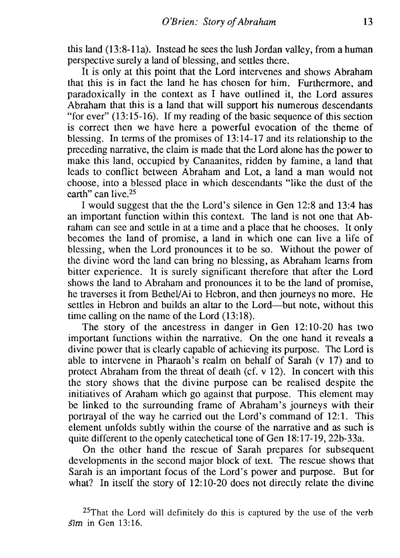this land (13:8-11a). Instead he sees the lush Jordan valley, from a human perspective surely a land of blessing, and settles there.

It is only at this point that the Lord intervenes and shows Abraham that this is in fact the land he has chosen for him. Furthermore, and paradoxically in the context as I have outlined it, the Lord assures Abraham that this is a land that will support his numerous descendants "for ever" (13: 15-16). If my reading of the basic sequence of this section is correct then we have here a powerful evocation of the theme of blessing. In terms of the promises of 13:14-17 and its relationship to the preceding narrative, the claim is made that the Lord alone has the power to make this land, occupied by Canaanites, ridden by famine, a land that leads to conflict between Abraham and Lot, a land a man would not choose, into a blessed place in which descendants "like the dust of the earth" can live.25

I would suggest that the the Lord's silence in Gen 12:8 and 13:4 has an important function within this context. The land is not one that Abraham can see and settle in at a time and a place that he chooses. It only becomes the land of promise, a land in which one can live a life of blessing, when the Lord pronounces it to be so. Without the power of the divine word the land can bring no blessing, as Abraham learns from bitter experience. It is surely significant therefore that after the Lord shows the land to Abraham and pronounces it to be the land of promise, he traverses it from Bethel/Ai to Hebron, and then journeys no more. He settles in Hebron and builds an altar to the Lord—but note, without this time calling on the name of the Lord (13:18).

The story of the ancestress in danger in Gen 12:10-20 has two important functions within the narrative. On the one hand it reveals a divine power that is clearly capable of achieving its purpose. The Lord is able to intervene in Pharaoh's realm on behalf of Sarah (v 17) and to protect Abraham from the threat of death (cf. v 12). In concert with this the story shows that the divine purpose can be realised despite the initiatives of Araham which go against that purpose. This element may be linked to the surrounding frame of Abraham's journeys with their portrayal of the way he carried out the Lord's command of 12: 1. This element unfolds subtly within the course of the narrative and as such is quite different to the openly catechetical tone of Gen 18: 17-19, 22b-33a.

On the other hand the rescue of Sarah prepares for subsequent developments in the second major block of text. The rescue shows that Sarah is an important focus of the Lord's power and purpose. But for what? In itself the story of 12:10-20 does not directly relate the divine

<sup>&</sup>lt;sup>25</sup>That the Lord will definitely do this is captured by the use of the verb *slm* in Gen 13:16.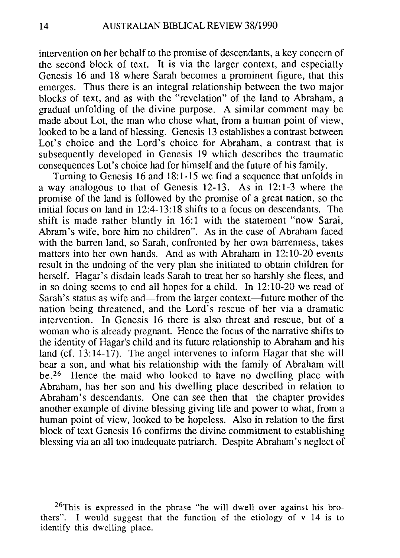intervention on her behalf to the promise of descendants, a key concern of the second block of text. It is via the larger context, and especially Genesis 16 and 18 where Sarah becomes a prominent figure, that this emerges. Thus there is an integral relationship between the two major blocks of text, and as with the "revelation" of the land to Abraham, a gradual unfolding of the divine purpose. A similar comment may be made about Lot, the man who chose what, from a human point of view, looked to be a land of blessing. Genesis 13 establishes a contrast between Lot's choice and the Lord's choice for Abraham, a contrast that is subsequently developed in Genesis 19 which describes the traumatic consequences Lot's choice had for himself and the future of his family.

Turning to Genesis 16 and 18:1-15 we find a sequence that unfolds in a way analogous to that of Genesis 12-13. As in 12: 1-3 where the promise of the land is followed by the promise of a great nation, so the initial focus on land in 12:4-13: 18 shifts to a focus on descendants. The shift is made rather bluntly in 16:1 with the statement "now Sarai, Abram's wife, bore him no children". As in the case of Abraham faced with the barren land, so Sarah, confronted by her own barrenness, takes matters into her own hands. And as with Abraham in 12: 10-20 events result in the undoing of the very plan she initiated to obtain children for herself. Hagar's disdain leads Sarah to treat her so harshly she flees, and in so doing seems to end all hopes for a child. In 12: 10-20 we read of Sarah's status as wife and—from the larger context—future mother of the nation being threatened, and the Lord's rescue of her via a dramatic intervention. In Genesis 16 there is also threat and rescue, but of a woman who is already pregnant. Hence the focus of the narrative shifts to the identity of Hagar's child and its future relationship to Abraham and his land (cf. 13:14-17). The angel intervenes to inform Hagar that she will bear a son, and what his relationship with the family of Abraham will be. 26 Hence the maid who looked to have no dwelling place with Abraham, has her son and his dwelling place described in relation to Abraham's descendants. One can see then that the chapter provides another example of divine blessing giving life and power to what, from a human point of view, looked to be hopeless. Also in relation to the first block of text Genesis 16 confirms the divine commitment to establishing blessing via an all too inadequate patriarch. Despite Abraham's neglect of

26This is expressed in the phrase "he will dwell over against his brothers". I would suggest that the function of the etiology of v 14 is to identify this dwelling place.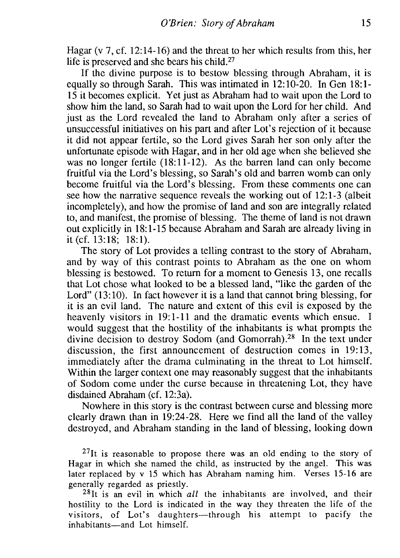Hagar (v 7, cf. 12:14-16) and the threat to her which results from this, her life is preserved and she bears his child.27

If the divine purpose is to bestow blessing through Abraham, it is equally so through Sarah. This was intimated in 12:10-20. In Gen 18:1- 15 it becomes explicit. Yet just as Abraham had to wait upon the Lord to show him the land, so Sarah had to wait upon the Lord for her child. And just as the Lord revealed the land to Abraham only after a series of unsuccessful initiatives on his part and after Lot's rejection of it because it did not appear fertile, so the Lord gives Sarah her son only after the unfortunate episode with Hagar, and in her old age when she believed she was no longer fertile (18:11-12). As the barren land can only become fruitful via the Lord's blessing, so Sarah's old and barren womb can only become fruitful via the Lord's blessing. From these comments one can see how the narrative sequence reveals the working out of 12:1-3 (albeit incompletely), and how the promise of land and son are integrally related to, and manifest, the promise of blessing. The theme of land is not drawn out explicitly in 18:1-15 because Abraham and Sarah are already living in it (cf.  $13:18$ ; 18:1).

The story of Lot provides a telling contrast to the story of Abraham, and by way of this contrast points to Abraham as the one on whom blessing is bestowed. To return for a moment to Genesis 13, one recalls that Lot chose what looked to be a blessed land, "like the garden of the Lord" (13:10). In fact however it is a land that cannot bring blessing, for it is an evil land. The nature and extent of this evil is exposed by the heavenly visitors in 19:1-11 and the dramatic events which ensue. I would suggest that the hostility of the inhabitants is what prompts the divine decision to destroy Sodom (and Gomorrah).28 In the text under discussion, the first announcement of destruction comes in 19:13, immediately after the drama culminating in the threat to Lot himself. Within the larger context one may reasonably suggest that the inhabitants of Sodom come under the curse because in threatening Lot, they have disdained Abraham (cf. 12:3a).

Nowhere in this story is the contrast between curse and blessing more clearly drawn than in 19:24-28. Here we find all the land of the valley destroyed, and Abraham standing in the land of blessing, looking down

 $^{27}$ It is reasonable to propose there was an old ending to the story of Hagar in which she named the child, as instructed by the angel. This was later replaced by v 15 which has Abraham naming him. Verses 15-16 are generally regarded as priestly.

28It is an evil in which *all* the inhabitants are involved, and their hostility to the Lord is indicated in the way they threaten the life of the visitors, of Lot's daughters-through his attempt to pacify the inhabitants-and Lot himself.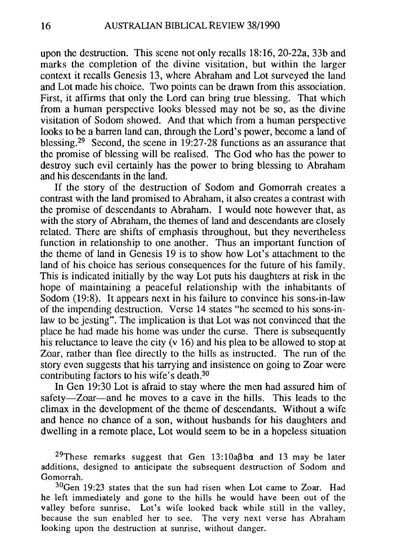upon the destruction. This scene not only recalls 18: 16, 20-22a, 33b and marks the completion of the divine visitation, but within the larger context it recalls Genesis 13, where Abraham and Lot surveyed the land and Lot made his choice. Two points can be drawn from this association. First, it affirms that only the Lord can bring true blessing. That which from a human perspective looks blessed may not be so, as the divine visitation of Sodom showed. And that which from a human perspective looks to be a barren land can, through the Lord's power, become a land of blessing.29 Second, the scene in 19:27-28 functions as an assurance that the promise of blessing will be realised. The God who has the power to destroy such evil certainly has the power to bring blessing to Abraham and his descendants in the land.

If the story of the destruction of Sodom and Gomorrah creates a contrast with the land promised to Abraham, it also creates a contrast with the promise of descendants to Abraham. I would note however that, as with the story of Abraham, the themes of land and descendants are closely related. There are shifts of emphasis throughout, but they nevertheless function in relationship to one another. Thus an important function of the theme of land in Genesis 19 is to show how Lot's attachment to the land of his choice has serious consequences for the future of his family. This is indicated initially by the way Lot puts his daughters at risk in the hope of maintaining a peaceful relationship with the inhabitants of Sodom (19:8). It appears next in his failure to convince his sons-in-law of the impending destruction. Verse 14 states "he seemed to his sons-inlaw to be jesting". The implication is that Lot was not convinced that the place he had made his home was under the curse. There is subsequently his reluctance to leave the city (v 16) and his plea to be allowed to stop at Zoar, rather than flee directly to the hills as instructed. The run of the story even suggests that his tarrying and insistence on going to Zoar were contributing factors to his wife's death.3D

In Gen 19:30 Lot is afraid to stay where the men had assured him of safety-Zoar-and he moves to a cave in the hills. This leads to the climax in the development of the theme of descendants. Without a wife and hence no chance of a son, without husbands for his daughters and dwelling in a remote place, Lot would seem to be in a hopeless situation

<sup>29</sup>These remarks suggest that Gen  $13:10a\beta ba$  and 13 may be later additions, designed to anticipate the subsequent destruction of Sodom and Gomorrah.

 $30$ Gen 19:23 states that the sun had risen when Lot came to Zoar. Had he left immediately and gone to the hills he would have been out of the valley before sunrise. Lot's wife looked back while still in the valley, because the sun enabled her to see. The very next verse has Abraham looking upon the destruction at sunrise, without danger.